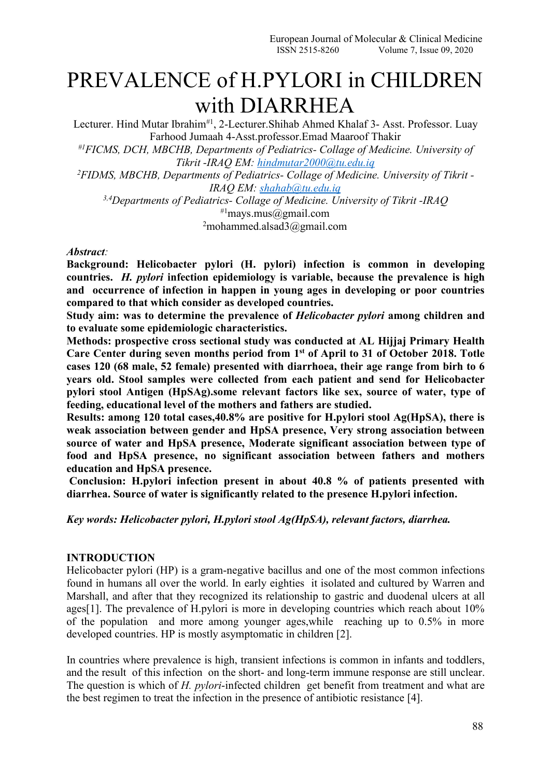# PREVALENCE of H.PYLORI in CHILDREN with DIARRHEA

Lecturer. Hind Mutar Ibrahim<sup>#1</sup>, 2-Lecturer.Shihab Ahmed Khalaf 3- Asst. Professor. Luay Farhood Jumaah 4-Asst.professor.Emad Maaroof Thakir *#1FICMS, DCH, MBCHB, Departments of Pediatrics- Collage of Medicine. University of Tikrit -IRAQ EM: [hindmutar2000@tu.edu.iq](mailto:hindmutar2000@tu.edu.iq) <sup>2</sup>FIDMS, MBCHB, Departments of Pediatrics- Collage of Medicine. University of Tikrit - IRAQ EM: [shahab@tu.edu.iq](mailto:shahab@tu.edu.iq) 3,4Departments of Pediatrics- Collage of Medicine. University of Tikrit -IRAQ* <sup>#1</sup>mays.mus@gmail.com

 $2$ mohammed.alsad $3$ @gmail.com

#### *Abstract:*

**Background: Helicobacter pylori (H. pylori) infection is common in developing countries.** *H. pylori* **infection epidemiology is variable, because the prevalence ishigh and occurrence of infection in happen in young ages in developing or poor countries compared** to that which consider as developed countries.

**Study aim: was to determine the prevalence of** *Helicobacter pylori* **among children and to evaluate some epidemiologic characteristics.**

**Methods: prospective cross sectional study was conducted at AL Hijjaj Primary Health Care Center during seven months period from 1 st of April to 31 of October 2018. Totle cases 120 (68 male, 52 female) presented with diarrhoea, their age range from birh to 6 years old. Stool samples were collected from each patient and send for Helicobacter pylori stool Antigen (HpSAg).some relevant factors like sex, source of water, type of feeding, educational level of the mothers and fathers are studied.**

**Results: among 120 total cases,40.8% are positive for H.pylori stool Ag(HpSA), there is weak association between gender and HpSA presence, Very strong association between source of water and HpSA presence, Moderate significant association between type of food and HpSA presence, no significant association between fathers and mothers education and HpSA presence.**

**Conclusion: H.pylori infection present in about 40.8 % of patients presented with diarrhea. Source of water is significantly related tothe presence H.pylori infection.**

*Key words: Helicobacter pylori, H.pylori stool Ag(HpSA), relevant factors, diarrhea.*

### **INTRODUCTION**

Helicobacter pylori (HP) is a gram-negative bacillus and one of the most common infections found in humans all over the world. In early eighties it isolated and cultured by Warren and Marshall, and after that they recognized its relationship to gastric and duodenal ulcers at all ages[1]. The prevalence of H.pylori is more in developing countries which reach about 10% of the population and more among younger ages,while reaching up to 0.5% in more developed countries. HP is mostly asymptomatic in children [2].

In countries where prevalence is high, transient infections is common in infants and toddlers, and the result of this infection on the short- and long-term immune response are still unclear. The question is which of *H. pylori*‐infected children get benefit from treatment and what are the best regimen to treat the infection in the presence of antibiotic resistance [4].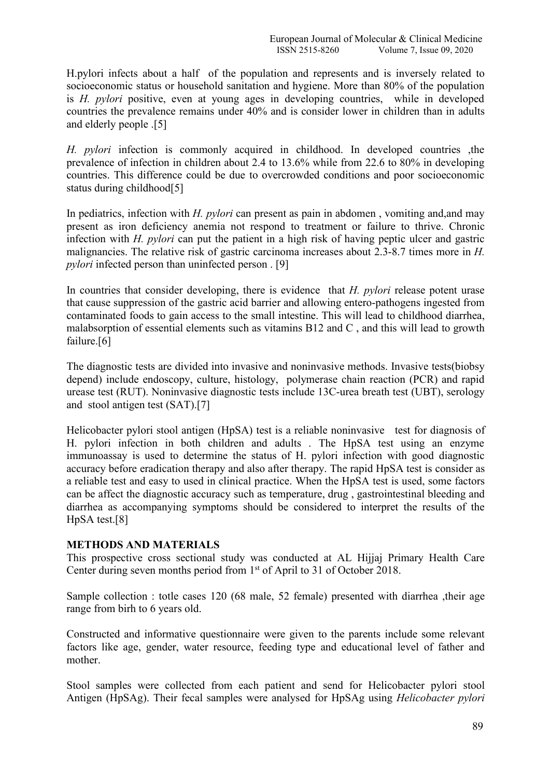H.pylori infects about a half of the population and represents and is inversely related to socioeconomic status or household sanitation and hygiene. More than 80% of the population is *H. pylori* positive, even at young ages in developing countries, while in developed countries the prevalence remains under 40% and is consider lower in children than in adults and elderly people .[5]

*H. pylori* infection is commonly acquired in childhood. In developed countries ,the prevalence of infection in children about 2.4 to 13.6% while from 22.6 to 80% in developing countries. This difference could be due to overcrowded conditions and poor socioeconomic status during childhood[5]

In pediatrics, infection with *H. pylori* can present as pain in abdomen , vomiting and,and may present as iron deficiency anemia not respond to treatment or failure to thrive. Chronic infection with *H. pylori* can put the patient in a high risk of having peptic ulcer and gastric malignancies. The relative risk of gastric carcinoma increases about 2.3-8.7 times more in *H. pylori* infected person than uninfected person . [9]

In countries that consider developing, there is evidence that *H. pylori* release potent urase that cause suppression of the gastric acid barrier and allowing entero-pathogens ingested from contaminated foods to gain access to the small intestine. This will lead to childhood diarrhea, malabsorption of essential elements such as vitamins B12 and C , and this will lead to growth failure.[6]

The diagnostic tests are divided into invasive and noninvasive methods. Invasive tests(biobsy depend) include endoscopy, culture, histology, polymerase chain reaction (PCR) and rapid urease test (RUT). Noninvasive diagnostic tests include 13C-urea breath test (UBT), serology and stool antigen test (SAT).[7]

Helicobacter pylori stool antigen (HpSA) test is a reliable noninvasive test for diagnosis of H. pylori infection in both children and adults . The HpSA test using an enzyme immunoassay is used to determine the status of H. pylori infection with good diagnostic accuracy before eradication therapy and also after therapy. The rapid HpSA test is consider as a reliable test and easy to used in clinical practice. When the HpSA test is used, some factors can be affect the diagnostic accuracy such as temperature, drug , gastrointestinal bleeding and diarrhea as accompanying symptoms should be considered to interpret the results of the HpSA test.[8]

### **METHODS AND MATERIALS**

This prospective cross sectional study was conducted at AL Hijjaj Primary Health Care Center during seven months period from 1 st of April to 31 of October 2018.

Sample collection : totle cases 120 (68 male, 52 female) presented with diarrhea ,their age range from birh to 6 years old.

Constructed and informative questionnaire were given to the parents include some relevant factors like age, gender, water resource, feeding type and educational level of father and mother.

Stool samples were collected from each patient and send for Helicobacter pylori stool Antigen (HpSAg). Their fecal samples were analysed for HpSAg using *Helicobacter pylori*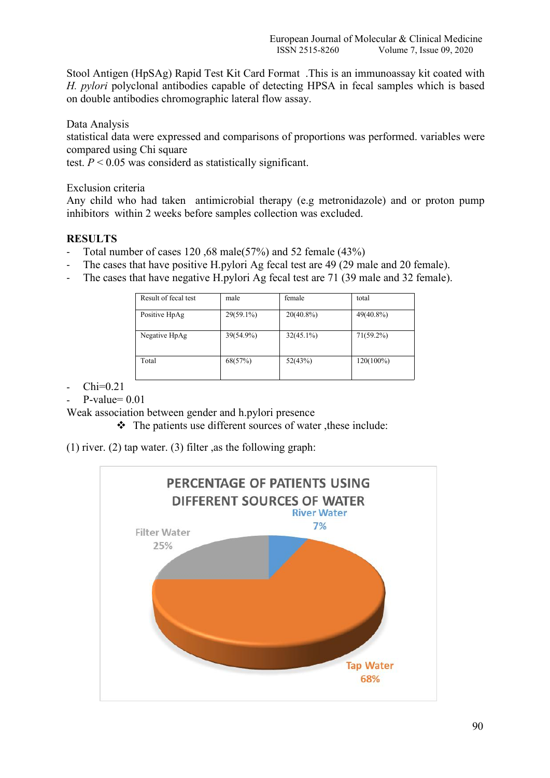Stool Antigen (HpSAg) Rapid Test Kit Card Format .This is an immunoassay kit coated with *H. pylori* polyclonal antibodies capable of detecting HPSA in fecal samples which is based on double antibodies chromographic lateral flow assay.

Data Analysis

statistical data were expressed and comparisons of proportions was performed. variables were compared using Chi square

test.  $P < 0.05$  was considerd as statistically significant.

Exclusion criteria

Any child who had taken antimicrobial therapy (e.g metronidazole) and or proton pump inhibitors within 2 weeks before samples collection was excluded.

# **RESULTS**

- Total number of cases 120,68 male(57%) and 52 female (43%)
- The cases that have positive H.pylori Ag fecal test are 49 (29 male and 20 female).
- The cases that have negative H.pylori Ag fecal test are 71 (39 male and 32 female).

| Result of fecal test | male      | female       | total        |
|----------------------|-----------|--------------|--------------|
| Positive HpAg        | 29(59.1%) | $20(40.8\%)$ | 49(40.8%)    |
| Negative HpAg        | 39(54.9%) | $32(45.1\%)$ | $71(59.2\%)$ |
| Total                | 68(57%)   | 52(43%)      | $120(100\%)$ |

 $\text{Chi}=0.21$ 

 $P-value= 0.01$ 

Weak association between gender and h.pylori presence

 $\triangle$  The patients use different sources of water, these include:

(1) river. (2) tap water. (3) filter ,as the following graph:

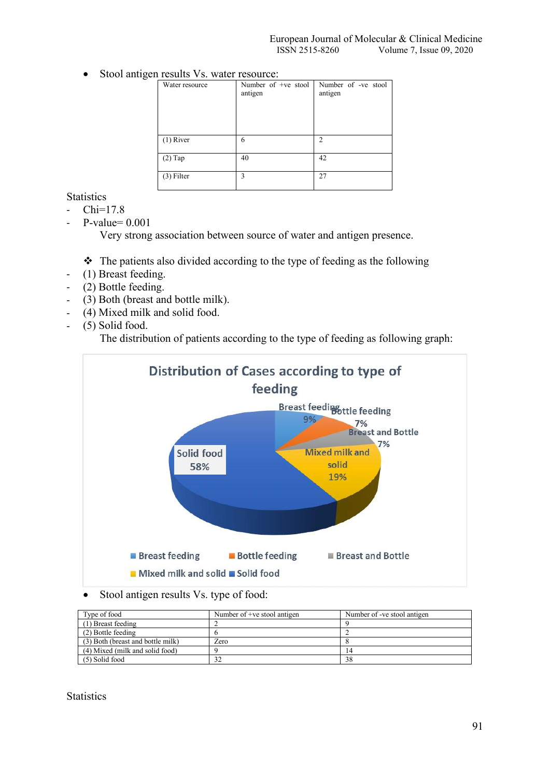• Stool antigen results Vs. water resource:

| Water resource | Number of +ve stool<br>antigen | Number of -ve stool<br>antigen |
|----------------|--------------------------------|--------------------------------|
| $(1)$ River    | 6                              | $\mathfrak{D}$                 |
| $(2)$ Tap      | 40                             | 42                             |
| $(3)$ Filter   | 3                              | 27                             |

**Statistics** 

- Chi=17.8
- $P-value= 0.001$

Very strong association between source of water and antigen presence.

 $\cdot \cdot$  The patients also divided according to the type of feeding as the following

- (1) Breast feeding.
- (2) Bottle feeding.
- (3) Both (breast and bottle milk).
- (4) Mixed milk and solid food.
- (5) Solid food.

The distribution of patients according to the type of feeding as following graph:



Stool antigen results Vs. type of food:

| Type of food                      | Number of +ve stool antigen | Number of -ve stool antigen |
|-----------------------------------|-----------------------------|-----------------------------|
| (1) Breast feeding                |                             |                             |
| (2) Bottle feeding                |                             |                             |
| (3) Both (breast and bottle milk) | Zero                        |                             |
| (4) Mixed (milk and solid food)   |                             |                             |
| (5) Solid food                    |                             | 38                          |

## **Statistics**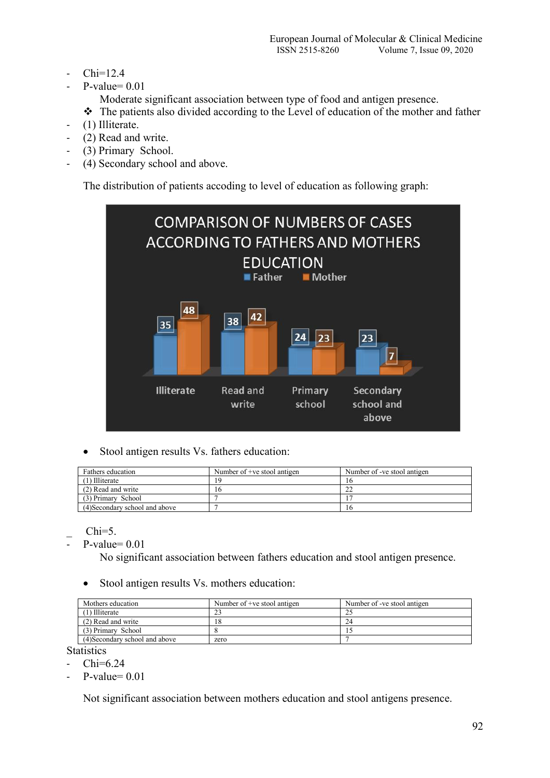- $Chi=12.4$
- $P-value= 0.01$

Moderate significant association between type of food and antigen presence.

- \* The patients also divided according to the Level of education of the mother and father
- (1) Illiterate.
- (2) Read and write.
- (3) Primary School.
- (4) Secondary school and above.

The distribution of patients accoding to level of education as following graph:



• Stool antigen results Vs. fathers education:

| Fathers education              | Number of +ve stool antigen | Number of -ve stool antigen |
|--------------------------------|-----------------------------|-----------------------------|
| (1) Illiterate                 | 1 G                         | 10                          |
| (2) Read and write             | 16                          |                             |
| (3) Primary School             |                             |                             |
| (4) Secondary school and above |                             | 16                          |

 $Chi=5$ .

 $P-value= 0.01$ 

No significant association between fathers education and stool antigen presence.

Stool antigen results Vs. mothers education:

| Mothers education              | Number of +ve stool antigen | Number of -ve stool antigen |
|--------------------------------|-----------------------------|-----------------------------|
| (1) Illiterate                 |                             |                             |
| (2) Read and write             |                             | 24                          |
| (3) Primary School             |                             |                             |
| (4) Secondary school and above | zero                        |                             |

**Statistics** 

- $Chi=6.24$
- $-$  P-value=  $0.01$

Not significant association between mothers education and stool antigens presence.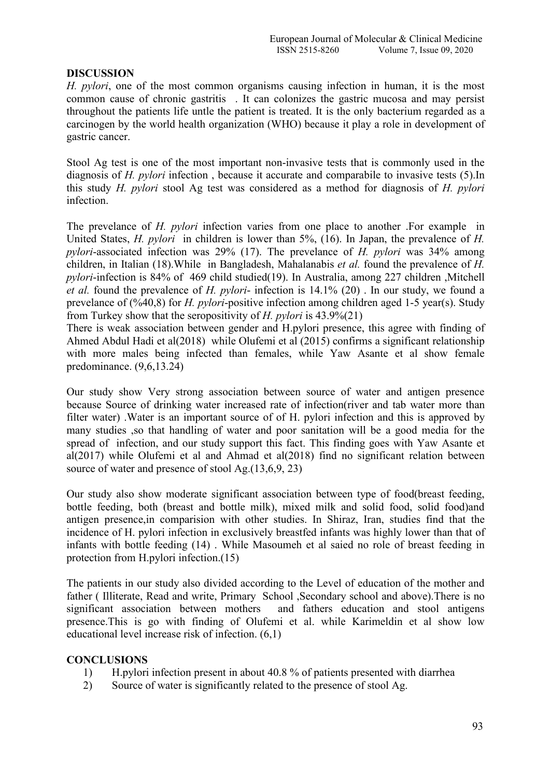## **DISCUSSION**

*H. pylori*, one of the most common organisms causing infection in human, it is the most common cause of chronic gastritis. It can colonizes the gastric mucosa and may persist throughout the patients life untle the patient is treated. It is the only bacterium regarded as a carcinogen by the world health organization (WHO) because it play a role in development of gastric cancer.

Stool Ag test is one of the most important non-invasive tests that is commonly used in the diagnosis of *H. pylori* infection , because it accurate and comparabile to invasive tests (5).In this study *H. pylori*stool Ag test was considered as a method for diagnosis of *H. pylori* infection.

The prevelance of *H. pylori* infection varies from one place to another .For example in United States, *H. pylori* in children is lower than 5%, (16). In Japan, the prevalence of *H. pylori*-associated infection was29% (17). The prevelance of *H. pylori* was 34% among children, in Italian (18).While in Bangladesh, Mahalanabis *et al.* found the prevalence of *H. pylori*-infection is 84% of 469 child studied(19). In Australia, among 227 children ,Mitchell *et al.* found the prevalence of *H. pylori*- infection is 14.1% (20) . In our study, we found a prevelance of (%40,8) for *H. pylori*-positive infection among children aged 1-5 year(s). Study from Turkey show that the seropositivity of *H. pylori* is 43.9%(21)

There is weak association between gender and H.pylori presence, this agree with finding of Ahmed Abdul Hadi et al(2018) while Olufemi et al (2015) confirms a significant relationship with more males being infected than females, while Yaw Asante et al show female predominance. (9,6,13.24)

Our study show Very strong association between source of water and antigen presence because Source of drinking water increased rate of infection(river and tab water more than filter water) .Water is an important source of of H. pylori infection and this is approved by many studies ,so that handling of water and poor sanitation will be a good media for the spread of infection, and our study support this fact. This finding goes with Yaw Asante et al(2017) while Olufemi et al and Ahmad et al(2018) find no significant relation between source of water and presence of stool Ag.(13,6,9, 23)

Our study also show moderate significant association between type of food(breast feeding, bottle feeding, both (breast and bottle milk), mixed milk and solid food, solid food)and antigen presence,in comparision with other studies. In Shiraz, Iran, studies find that the incidence of H. pylori infection in exclusively breastfed infants was highly lower than that of infants with bottle feeding (14). While Masoumeh et al saied no role of breast feeding in protection from H.pylori infection.(15)

The patients in our study also divided according to the Level of education of the mother and father ( Illiterate, Read and write, Primary School ,Secondary school and above).There is no significant association between mothers and fathers education and stool antigens presence.This is go with finding of Olufemi et al. while Karimeldin et al show low educational level increase risk of infection. (6,1)

# **CONCLUSIONS**

- 1) H.pylori infection present in about 40.8 % of patients presented with diarrhea
- 2) Source of water is significantly related to the presence of stool Ag.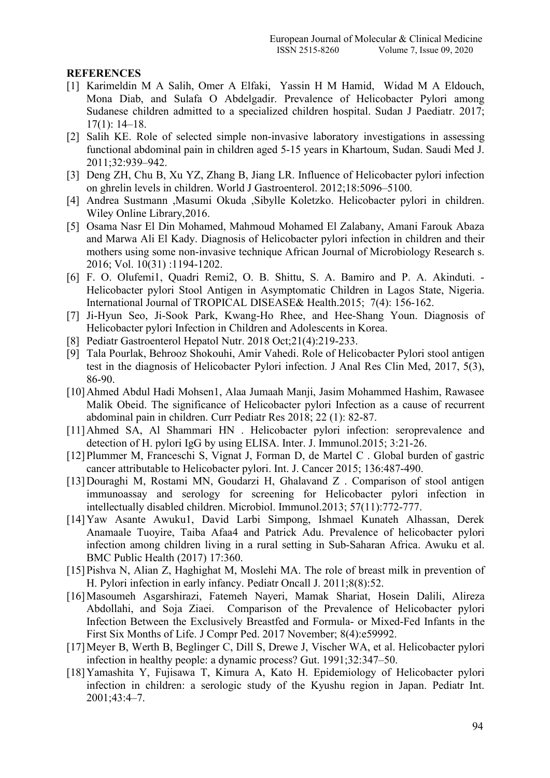## **REFERENCES**

- [1] Karimeldin M A Salih, Omer A Elfaki, Yassin H M Hamid, Widad M A Eldouch, Mona Diab, and Sulafa O Abdelgadir. Prevalence of Helicobacter Pylori among Sudanese children admitted to a specialized children hospital. Sudan J Paediatr. 2017; 17(1): 14–18.
- [2] Salih KE. Role of selected simple non-invasive laboratory investigations in assessing functional abdominal pain in children aged 5-15 years in Khartoum, Sudan. Saudi Med J. 2011;32:939–942.
- [3] Deng ZH, Chu B, Xu YZ, Zhang B, Jiang LR. Influence of Helicobacter pylori infection on ghrelin levels in children. World J Gastroenterol. 2012;18:5096–5100.
- [4] Andrea Sustmann ,Masumi Okuda ,Sibylle Koletzko. Helicobacter pylori in children. Wiley Online Library,2016.
- [5] Osama Nasr El Din Mohamed, Mahmoud Mohamed El Zalabany, Amani Farouk Abaza and Marwa Ali El Kady. Diagnosis of Helicobacter pylori infection in children and their mothers using some non-invasive technique African Journal of Microbiology Research s. 2016; Vol. 10(31) :1194-1202.
- [6] F. O. Olufemi1, Quadri Remi2, O. B. Shittu, S. A. Bamiro and P. A. Akinduti. -Helicobacter pylori Stool Antigen in Asymptomatic Children in Lagos State, Nigeria. International Journal of TROPICAL DISEASE& Health.2015; 7(4): 156-162.
- [7] Ji-Hyun Seo, Ji-Sook Park, Kwang-Ho Rhee, and Hee-Shang Youn. Diagnosis of Helicobacter pylori Infection in Children and Adolescents in Korea.
- [8] Pediatr Gastroenterol Hepatol Nutr. 2018 Oct;21(4):219-233.
- [9] Tala Pourlak, Behrooz Shokouhi, Amir Vahedi. Role of Helicobacter Pylori stool antigen test in the diagnosis of Helicobacter Pylori infection. J Anal Res Clin Med, 2017, 5(3), 86-90.
- [10]Ahmed Abdul Hadi Mohsen1, Alaa Jumaah Manji, Jasim Mohammed Hashim, Rawasee Malik Obeid. The significance of Helicobacter pylori Infection as a cause of recurrent abdominal pain in children.Curr Pediatr Res 2018; 22 (1): 82-87.
- [11]Ahmed SA, Al Shammari HN. Helicobacter pylori infection: seroprevalence and detection of H. pylori IgG by using ELISA. Inter. J. Immunol.2015; 3:21-26.
- [12]Plummer M, Franceschi S, Vignat J, Forman D, de Martel C . Global burden of gastric cancer attributable to Helicobacter pylori. Int. J. Cancer 2015; 136:487-490.
- [13]Douraghi M, Rostami MN, Goudarzi H, Ghalavand Z . Comparison of stool antigen immunoassay and serology for screening for Helicobacter pylori infection in intellectually disabled children. Microbiol. Immunol.2013; 57(11):772-777.
- [14]Yaw Asante Awuku1, David Larbi Simpong, Ishmael Kunateh Alhassan, Derek Anamaale Tuoyire, Taiba Afaa4 and Patrick Adu. Prevalence of helicobacter pylori infection among children living in a rural setting in Sub-Saharan Africa. Awuku et al. BMC Public Health (2017) 17:360.
- [15] Pishva N, Alian Z, Haghighat M, Moslehi MA. The role of breast milk in prevention of H. Pylori infection in early infancy. Pediatr Oncall J. 2011;8(8):52.
- [16]Masoumeh Asgarshirazi, Fatemeh Nayeri, Mamak Shariat, Hosein Dalili, Alireza Abdollahi, and Soja Ziaei. Comparison of the Prevalence of Helicobacter pylori Infection Between the Exclusively Breastfed and Formula- or Mixed-Fed Infants in the First Six Months of Life. J Compr Ped. 2017 November; 8(4):e59992.
- [17]Meyer B, Werth B, Beglinger C, Dill S, Drewe J, Vischer WA, et al. Helicobacter pylori infection in healthy people: a dynamic process? Gut. 1991;32:347–50.
- [18]Yamashita Y, Fujisawa T, Kimura A, Kato H. Epidemiology of Helicobacter pylori infection in children: a serologic study of the Kyushu region in Japan. Pediatr Int. 2001;43:4–7.